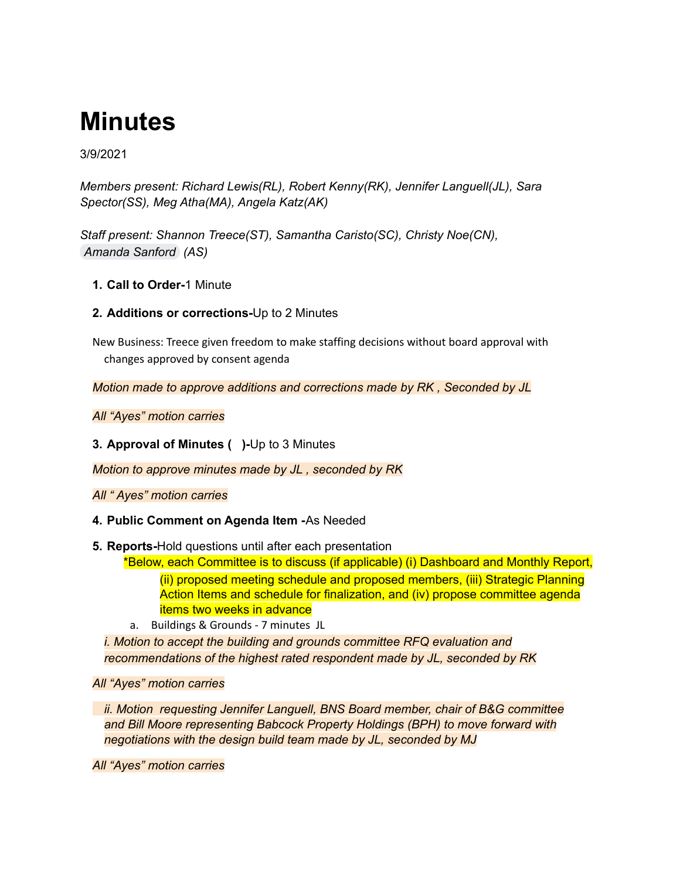# **Minutes**

3/9/2021

*Members present: Richard Lewis(RL), Robert Kenny(RK), Jennifer Languell(JL), Sara Spector(SS), Meg Atha(MA), Angela Katz(AK)*

*Staff present: Shannon Treece(ST), Samantha Caristo(SC), Christy Noe(CN), [Amanda](mailto:asanford@babcockneighborhoodschool.org) Sanford (AS)*

- **1. Call to Order-**1 Minute
- **2. Additions or corrections-**Up to 2 Minutes

New Business: Treece given freedom to make staffing decisions without board approval with changes approved by consent agenda

*Motion made to approve additions and corrections made by RK , Seconded by JL*

*All "Ayes" motion carries*

**3. Approval of Minutes ( )-**Up to 3 Minutes

*Motion to approve minutes made by JL , seconded by RK*

*All " Ayes" motion carries*

- **4. Public Comment on Agenda Item -**As Needed
- **5. Reports-**Hold questions until after each presentation

\*Below, each Committee is to discuss (if applicable) (i) Dashboard and Monthly Report, (ii) proposed meeting schedule and proposed members, (iii) Strategic Planning Action Items and schedule for finalization, and (iv) propose committee agenda items two weeks in advance

a. Buildings & Grounds - 7 minutes JL

*i. Motion to accept the building and grounds committee RFQ evaluation and recommendations of the highest rated respondent made by JL, seconded by RK*

*All "Ayes" motion carries*

*ii. Motion requesting Jennifer Languell, BNS Board member, chair of B&G committee and Bill Moore representing Babcock Property Holdings (BPH) to move forward with negotiations with the design build team made by JL, seconded by MJ*

*All "Ayes" motion carries*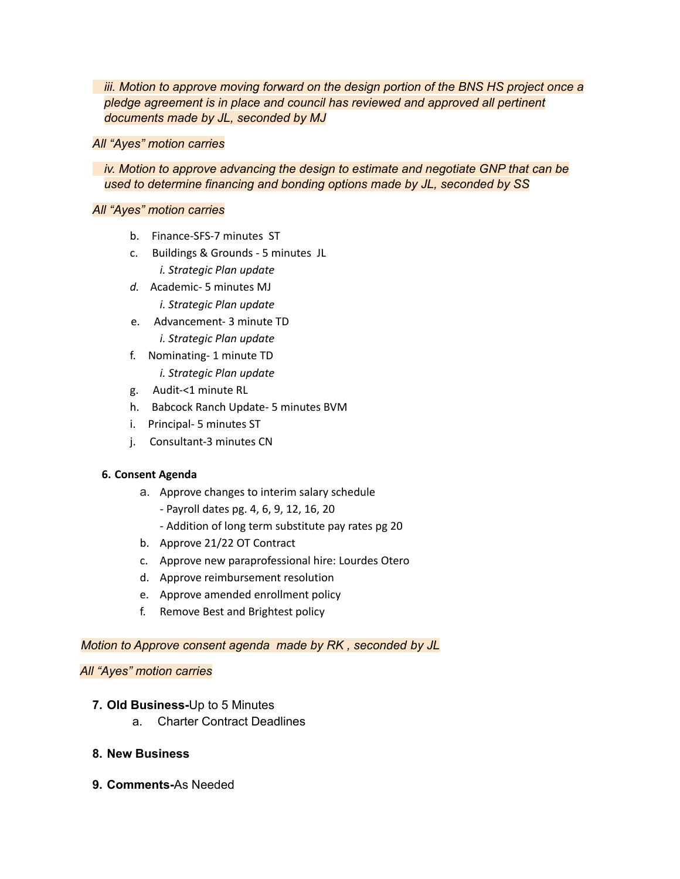*iii. Motion to approve moving forward on the design portion of the BNS HS project once a pledge agreement is in place and council has reviewed and approved all pertinent documents made by JL, seconded by MJ*

#### *All "Ayes" motion carries*

## *iv. Motion to approve advancing the design to estimate and negotiate GNP that can be used to determine financing and bonding options made by JL, seconded by SS*

### *All "Ayes" motion carries*

- b. Finance-SFS-7 minutes ST
- c. Buildings & Grounds 5 minutes JL *i. Strategic Plan update*
- *d.* Academic- 5 minutes MJ *i. Strategic Plan update*
- e. Advancement- 3 minute TD *i. Strategic Plan update*
- f. Nominating- 1 minute TD *i. Strategic Plan update*
- g. Audit-<1 minute RL
- h. Babcock Ranch Update- 5 minutes BVM
- i. Principal- 5 minutes ST
- j. Consultant-3 minutes CN

## **6. Consent Agenda**

- a. Approve changes to interim salary schedule
	- Payroll dates pg. 4, 6, 9, 12, 16, 20
	- Addition of long term substitute pay rates pg 20
- b. Approve 21/22 OT Contract
- c. Approve new paraprofessional hire: Lourdes Otero
- d. Approve reimbursement resolution
- e. Approve amended enrollment policy
- f. Remove Best and Brightest policy

#### *Motion to Approve consent agenda made by RK , seconded by JL*

#### *All "Ayes" motion carries*

- **7. Old Business-**Up to 5 Minutes
	- a. Charter Contract Deadlines

## **8. New Business**

**9. Comments-**As Needed